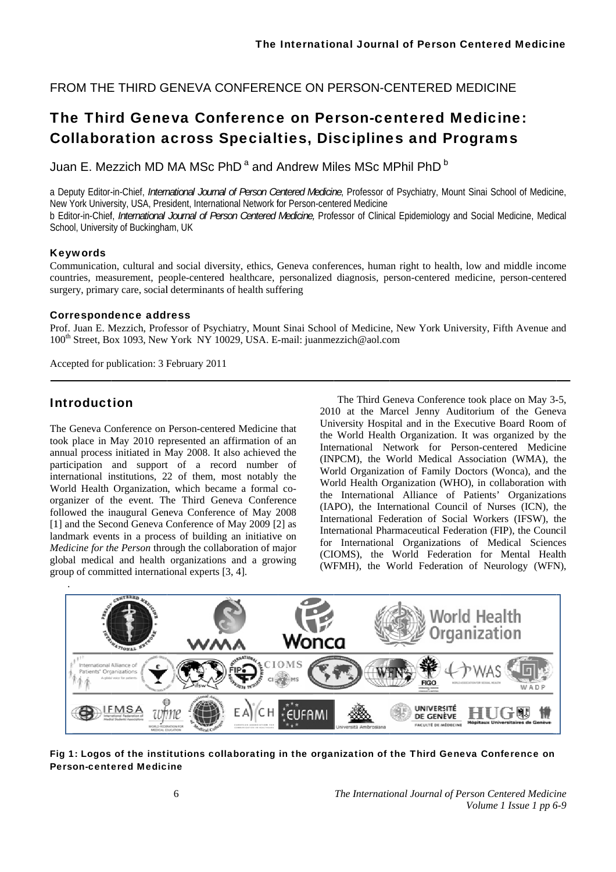FROM THE THIRD GENEVA CONFERENCE ON PERSON-CENTERED MEDICINE

# The Third Geneva Conference on Person-centered Medicine: **Collaboration across Specialties, Disciplines and Programs**

Juan E. Mezzich MD MA MSc PhD<sup>a</sup> and Andrew Miles MSc MPhil PhD<sup>b</sup>

a Deputy Editor-in-Chief, International Journal of Person Centered Medicine, Professor of Psychiatry, Mount Sinai School of Medicine, New York University, USA, President, International Network for Person-centered Medicine b Editor-in-Chief. International Journal of Person Centered Medicine. Professor of Clinical Epidemiology and Social Medicine. Medical School, University of Buckingham, UK

# **Kevwords**

Communication, cultural and social diversity, ethics, Geneva conferences, human right to health, low and middle income countries, measurement, people-centered healthcare, personalized diagnosis, person-centered medicine, person-centered surgery, primary care, social determinants of health suffering

### **Correspondence address**

Prof. Juan E. Mezzich, Professor of Psychiatry, Mount Sinai School of Medicine, New York University, Fifth Avenue and 100<sup>th</sup> Street, Box 1093, New York NY 10029, USA, E-mail: juanmezzich@aol.com

Accepted for publication: 3 February 2011

# **Introduction**

The Geneva Conference on Person-centered Medicine that took place in May 2010 represented an affirmation of an annual process initiated in May 2008. It also achieved the participation and support of a record number of international institutions, 22 of them, most notably the World Health Organization, which became a formal coorganizer of the event. The Third Geneva Conference followed the inaugural Geneva Conference of May 2008 [1] and the Second Geneva Conference of May 2009 [2] as landmark events in a process of building an initiative on Medicine for the Person through the collaboration of major global medical and health organizations and a growing group of committed international experts [3, 4].

The Third Geneva Conference took place on May 3-5, 2010 at the Marcel Jenny Auditorium of the Geneva University Hospital and in the Executive Board Room of the World Health Organization. It was organized by the International Network for Person-centered Medicine (INPCM), the World Medical Association (WMA), the World Organization of Family Doctors (Wonca), and the World Health Organization (WHO), in collaboration with the International Alliance of Patients' Organizations (IAPO), the International Council of Nurses (ICN), the International Federation of Social Workers (IFSW), the International Pharmaceutical Federation (FIP), the Council for International Organizations of Medical Sciences (CIOMS), the World Federation for Mental Health (WFMH), the World Federation of Neurology (WFN),



Fig 1: Logos of the institutions collaborating in the organization of the Third Geneva Conference on **Person-centered Medicine**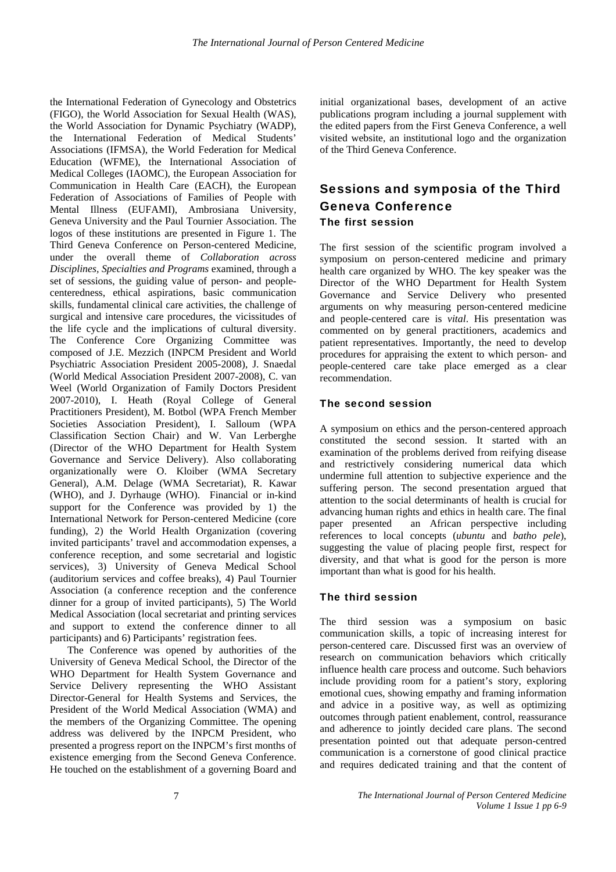the International Federation of Gynecology and Obstetrics (FIGO), the World Association for Sexual Health (WAS), the World Association for Dynamic Psychiatry (WADP), the International Federation of Medical Students' Associations (IFMSA), the World Federation for Medical Education (WFME), the International Association of Medical Colleges (IAOMC), the European Association for Communication in Health Care (EACH), the European Federation of Associations of Families of People with Mental Illness (EUFAMI), Ambrosiana University, Geneva University and the Paul Tournier Association. The logos of these institutions are presented in Figure 1. The Third Geneva Conference on Person-centered Medicine, under the overall theme of *Collaboration across Disciplines, Specialties and Programs* examined, through a set of sessions, the guiding value of person- and peoplecenteredness, ethical aspirations, basic communication skills, fundamental clinical care activities, the challenge of surgical and intensive care procedures, the vicissitudes of the life cycle and the implications of cultural diversity. The Conference Core Organizing Committee was composed of J.E. Mezzich (INPCM President and World Psychiatric Association President 2005-2008), J. Snaedal (World Medical Association President 2007-2008), C. van Weel (World Organization of Family Doctors President 2007-2010), I. Heath (Royal College of General Practitioners President), M. Botbol (WPA French Member Societies Association President), I. Salloum (WPA Classification Section Chair) and W. Van Lerberghe (Director of the WHO Department for Health System Governance and Service Delivery). Also collaborating organizationally were O. Kloiber (WMA Secretary General), A.M. Delage (WMA Secretariat), R. Kawar (WHO), and J. Dyrhauge (WHO). Financial or in-kind support for the Conference was provided by 1) the International Network for Person-centered Medicine (core funding), 2) the World Health Organization (covering invited participants' travel and accommodation expenses, a conference reception, and some secretarial and logistic services), 3) University of Geneva Medical School (auditorium services and coffee breaks), 4) Paul Tournier Association (a conference reception and the conference dinner for a group of invited participants), 5) The World Medical Association (local secretariat and printing services and support to extend the conference dinner to all participants) and 6) Participants' registration fees.

The Conference was opened by authorities of the University of Geneva Medical School, the Director of the WHO Department for Health System Governance and Service Delivery representing the WHO Assistant Director-General for Health Systems and Services, the President of the World Medical Association (WMA) and the members of the Organizing Committee. The opening address was delivered by the INPCM President, who presented a progress report on the INPCM's first months of existence emerging from the Second Geneva Conference. He touched on the establishment of a governing Board and

initial organizational bases, development of an active publications program including a journal supplement with the edited papers from the First Geneva Conference, a well visited website, an institutional logo and the organization of the Third Geneva Conference.

# Sessions and symposia of the Third Geneva Conference The first session

The first session of the scientific program involved a symposium on person-centered medicine and primary health care organized by WHO. The key speaker was the Director of the WHO Department for Health System Governance and Service Delivery who presented arguments on why measuring person-centered medicine and people-centered care is *vital*. His presentation was commented on by general practitioners, academics and patient representatives. Importantly, the need to develop procedures for appraising the extent to which person- and people-centered care take place emerged as a clear recommendation.

### The second session

A symposium on ethics and the person-centered approach constituted the second session. It started with an examination of the problems derived from reifying disease and restrictively considering numerical data which undermine full attention to subjective experience and the suffering person. The second presentation argued that attention to the social determinants of health is crucial for advancing human rights and ethics in health care. The final paper presented an African perspective including references to local concepts (*ubuntu* and *batho pele*), suggesting the value of placing people first, respect for diversity, and that what is good for the person is more important than what is good for his health.

### The third session

The third session was a symposium on basic communication skills, a topic of increasing interest for person-centered care. Discussed first was an overview of research on communication behaviors which critically influence health care process and outcome. Such behaviors include providing room for a patient's story, exploring emotional cues, showing empathy and framing information and advice in a positive way, as well as optimizing outcomes through patient enablement, control, reassurance and adherence to jointly decided care plans. The second presentation pointed out that adequate person-centred communication is a cornerstone of good clinical practice and requires dedicated training and that the content of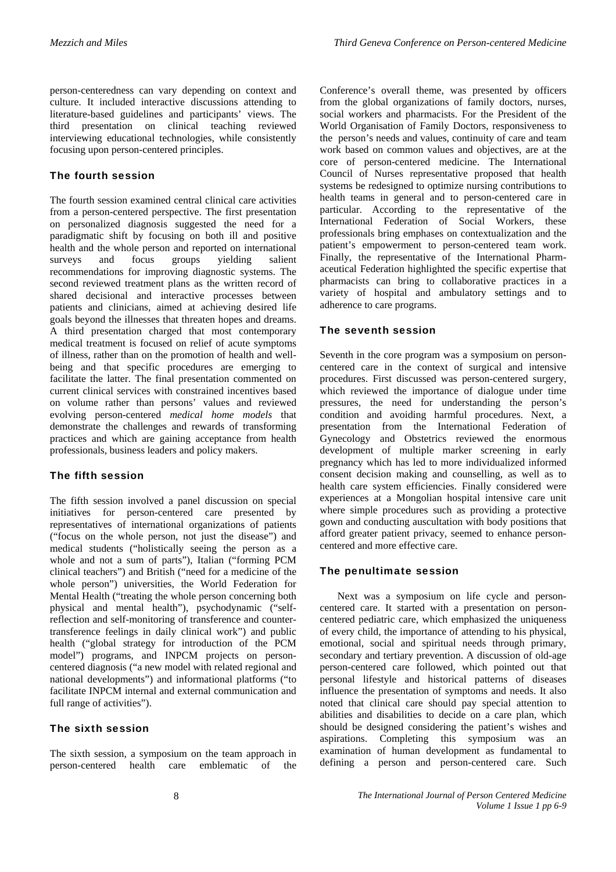person-centeredness can vary depending on context and culture. It included interactive discussions attending to literature-based guidelines and participants' views. The third presentation on clinical teaching reviewed interviewing educational technologies, while consistently focusing upon person-centered principles.

# The fourth session

The fourth session examined central clinical care activities from a person-centered perspective. The first presentation on personalized diagnosis suggested the need for a paradigmatic shift by focusing on both ill and positive health and the whole person and reported on international<br>surveys and focus groups vielding salient surveys and focus groups yielding salient recommendations for improving diagnostic systems. The second reviewed treatment plans as the written record of shared decisional and interactive processes between patients and clinicians, aimed at achieving desired life goals beyond the illnesses that threaten hopes and dreams. A third presentation charged that most contemporary medical treatment is focused on relief of acute symptoms of illness, rather than on the promotion of health and wellbeing and that specific procedures are emerging to facilitate the latter. The final presentation commented on current clinical services with constrained incentives based on volume rather than persons' values and reviewed evolving person-centered *medical home models* that demonstrate the challenges and rewards of transforming practices and which are gaining acceptance from health professionals, business leaders and policy makers.

# The fifth session

The fifth session involved a panel discussion on special initiatives for person-centered care presented by representatives of international organizations of patients ("focus on the whole person, not just the disease") and medical students ("holistically seeing the person as a whole and not a sum of parts"), Italian ("forming PCM clinical teachers") and British ("need for a medicine of the whole person") universities, the World Federation for Mental Health ("treating the whole person concerning both physical and mental health"), psychodynamic ("selfreflection and self-monitoring of transference and countertransference feelings in daily clinical work") and public health ("global strategy for introduction of the PCM model") programs, and INPCM projects on personcentered diagnosis ("a new model with related regional and national developments") and informational platforms ("to facilitate INPCM internal and external communication and full range of activities").

### The sixth session

The sixth session, a symposium on the team approach in person-centered health care emblematic of the Conference's overall theme, was presented by officers from the global organizations of family doctors, nurses, social workers and pharmacists. For the President of the World Organisation of Family Doctors, responsiveness to the person's needs and values, continuity of care and team work based on common values and objectives, are at the core of person-centered medicine. The International Council of Nurses representative proposed that health systems be redesigned to optimize nursing contributions to health teams in general and to person-centered care in particular. According to the representative of the International Federation of Social Workers, these professionals bring emphases on contextualization and the patient's empowerment to person-centered team work. Finally, the representative of the International Pharmaceutical Federation highlighted the specific expertise that pharmacists can bring to collaborative practices in a variety of hospital and ambulatory settings and to adherence to care programs.

### The seventh session

Seventh in the core program was a symposium on personcentered care in the context of surgical and intensive procedures. First discussed was person-centered surgery, which reviewed the importance of dialogue under time pressures, the need for understanding the person's condition and avoiding harmful procedures. Next, a presentation from the International Federation of Gynecology and Obstetrics reviewed the enormous development of multiple marker screening in early pregnancy which has led to more individualized informed consent decision making and counselling, as well as to health care system efficiencies. Finally considered were experiences at a Mongolian hospital intensive care unit where simple procedures such as providing a protective gown and conducting auscultation with body positions that afford greater patient privacy, seemed to enhance personcentered and more effective care.

### The penultimate session

Next was a symposium on life cycle and personcentered care. It started with a presentation on personcentered pediatric care, which emphasized the uniqueness of every child, the importance of attending to his physical, emotional, social and spiritual needs through primary, secondary and tertiary prevention. A discussion of old-age person-centered care followed, which pointed out that personal lifestyle and historical patterns of diseases influence the presentation of symptoms and needs. It also noted that clinical care should pay special attention to abilities and disabilities to decide on a care plan, which should be designed considering the patient's wishes and aspirations. Completing this symposium was an examination of human development as fundamental to defining a person and person-centered care. Such